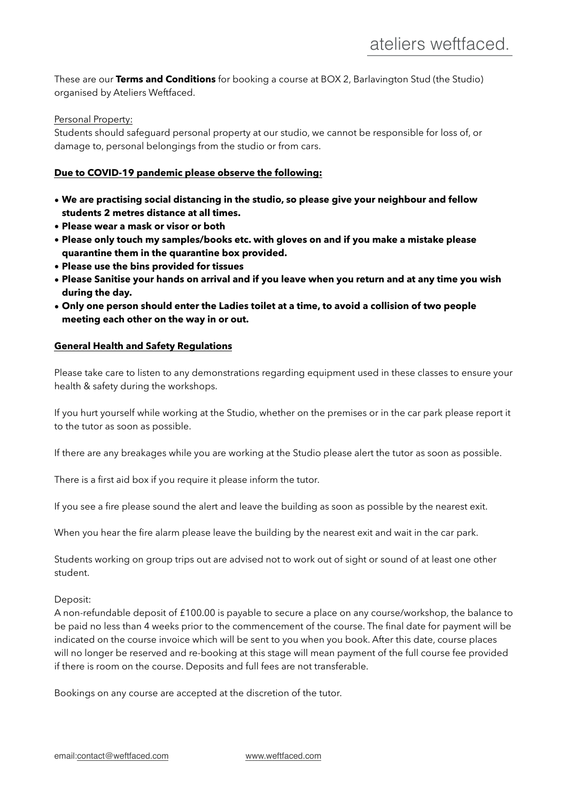These are our **Terms and Conditions** for booking a course at BOX 2, Barlavington Stud (the Studio) organised by Ateliers Weftfaced.

Personal Property:

Students should safeguard personal property at our studio, we cannot be responsible for loss of, or damage to, personal belongings from the studio or from cars.

## **Due to COVID-19 pandemic please observe the following:**

- **• We are practising social distancing in the studio, so please give your neighbour and fellow students 2 metres distance at all times.**
- **• Please wear a mask or visor or both**
- **• Please only touch my samples/books etc. with gloves on and if you make a mistake please quarantine them in the quarantine box provided.**
- **• Please use the bins provided for tissues**
- **• Please Sanitise your hands on arrival and if you leave when you return and at any time you wish during the day.**
- **• Only one person should enter the Ladies toilet at a time, to avoid a collision of two people meeting each other on the way in or out.**

## **General Health and Safety Regulations**

Please take care to listen to any demonstrations regarding equipment used in these classes to ensure your health & safety during the workshops.

If you hurt yourself while working at the Studio, whether on the premises or in the car park please report it to the tutor as soon as possible.

If there are any breakages while you are working at the Studio please alert the tutor as soon as possible.

There is a first aid box if you require it please inform the tutor.

If you see a fire please sound the alert and leave the building as soon as possible by the nearest exit.

When you hear the fire alarm please leave the building by the nearest exit and wait in the car park.

Students working on group trips out are advised not to work out of sight or sound of at least one other student.

Deposit:

A non-refundable deposit of £100.00 is payable to secure a place on any course/workshop, the balance to be paid no less than 4 weeks prior to the commencement of the course. The final date for payment will be indicated on the course invoice which will be sent to you when you book. After this date, course places will no longer be reserved and re-booking at this stage will mean payment of the full course fee provided if there is room on the course. Deposits and full fees are not transferable.

Bookings on any course are accepted at the discretion of the tutor.